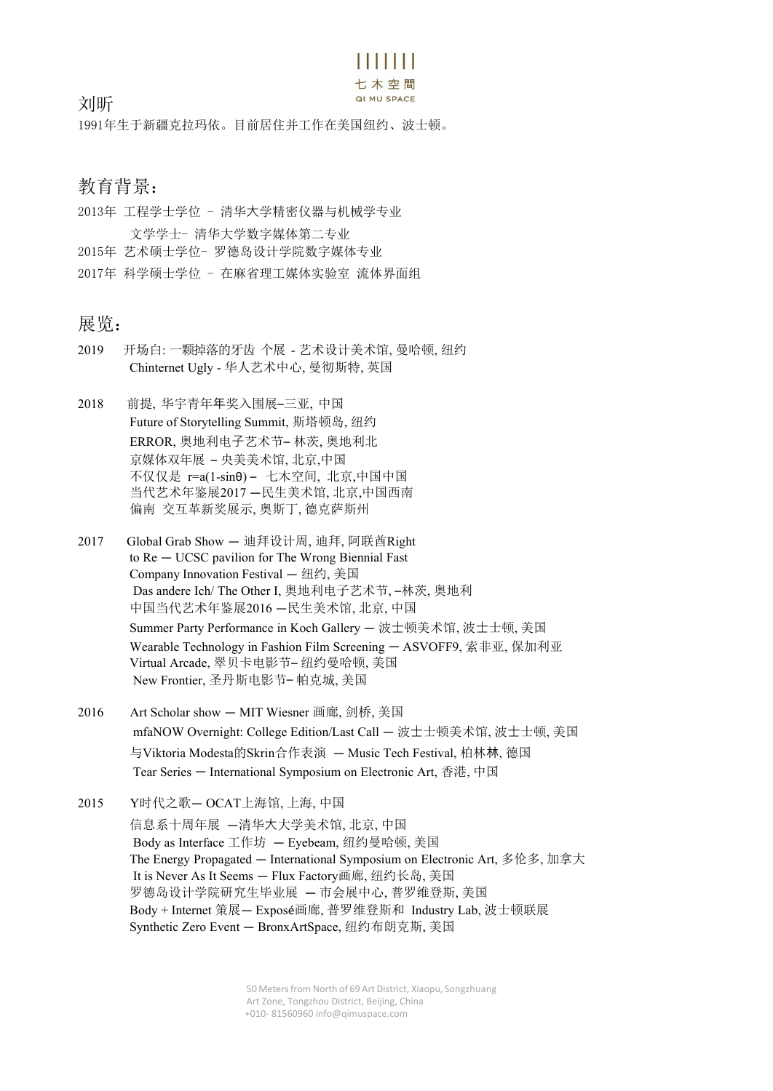## $\blacksquare$

## 七木空間

 $\overline{\chi}$ 小昕 with  $\overline{\chi}$   $\overline{\chi}$   $\overline{\chi}$   $\overline{\chi}$   $\overline{\chi}$   $\overline{\chi}$   $\overline{\chi}$   $\overline{\chi}$   $\overline{\chi}$   $\overline{\chi}$   $\overline{\chi}$   $\overline{\chi}$   $\overline{\chi}$   $\overline{\chi}$   $\overline{\chi}$   $\overline{\chi}$   $\overline{\chi}$   $\overline{\chi}$   $\overline{\chi}$   $\overline{\chi}$   $\overline{\chi}$   $\overline{\chi}$   $\overline{\chi$ 

1991年生于新疆克拉玛依。目前居住并工作在美国纽约、波士顿。

## 教育背景:

2013年 工程学士学位 - 清华⼤学精密仪器与机械学专业 文学学士- 清华大学数字媒体第二专业 2015年 艺术硕士学位- 罗德岛设计学院数字媒体专业 2017年 科学硕士学位 - 在麻省理工媒体实验室 流体界面组

## unity in the contract of the contract of the contract of the contract of the contract of the contract of the c

- 2019 开场白: 一颗掉落的牙齿 个展 艺术设计美术馆, 曼哈顿, 纽约 Chinternet Ugly - 华人艺术中心, 曼彻斯特, 英国
- 2018 前提, 华宇青年年奖入围展–三亚, 中国 Future of Storytelling Summit, 斯塔顿岛, 纽约 ERROR, 奥地利电子艺术节– 林茨, 奥地利北 京媒体双年展 – 央美美术馆, 北京,中国 不仅仅是 r=a(1-sinθ) – 七木空间, 北京,中国中国 当代艺术年鉴展2017 —民生美术馆, 北京,中国西南 偏南 交互革新奖展示, 奥斯丁, 德克萨斯州
- 2017 Global Grab Show 迪拜设计周, 迪拜, 阿联酋Right to Re — UCSC pavilion for The Wrong Biennial Fast Company Innovation Festival — 纽约, 美国 Das andere Ich/ The Other I, 奥地利电子艺术节, –林茨, 奥地利 中国当代艺术年鉴展2016 —民生美术馆, 北京, 中国 Summer Party Performance in Koch Gallery - 波士顿美术馆, 波士士顿, 美国 Wearable Technology in Fashion Film Screening — ASVOFF9, 索非亚, 保加利亚 Virtual Arcade, 翠贝卡电影节– 纽约曼哈顿, 美国 New Frontier, 圣丹斯电影节– 帕克城, 美国
- 2016 Art Scholar show MIT Wiesner 画廊, 剑桥, 美国 mfaNOW Overnight: College Edition/Last Call - 波士士顿美术馆, 波士士顿, 美国 与Viktoria Modesta的Skrin合作表演 — Music Tech Festival, 柏林林, 德国 Tear Series — International Symposium on Electronic Art, 香港,中国

2015 Y时代之歌— OCAT上海馆, 上海, 中国 信息系十周年展 —清华⼤大学美术馆, 北京, 中国 Body as Interface 工作坊 — Eyebeam, 纽约曼哈顿, 美国 The Energy Propagated — International Symposium on Electronic Art, 多伦多, 加拿大 It is Never As It Seems — Flux Factory画廊, 纽约长岛, 美国 罗德岛设计学院研究生毕业展 — 市会展中心, 普罗维登斯, 美国 Body + Internet策展— Exposé画廊, 普罗维登斯和 Industry Lab, 波士顿联展 Synthetic Zero Event — BronxArtSpace, 纽约布朗克斯, 美国

> 50 Metersfrom North of 69 Art District, Xiaopu, Songzhuang Art Zone, Tongzhou District, Beijing, China +010- 81560960 [info@qimuspace.com](mailto:info@qimuspace.com)